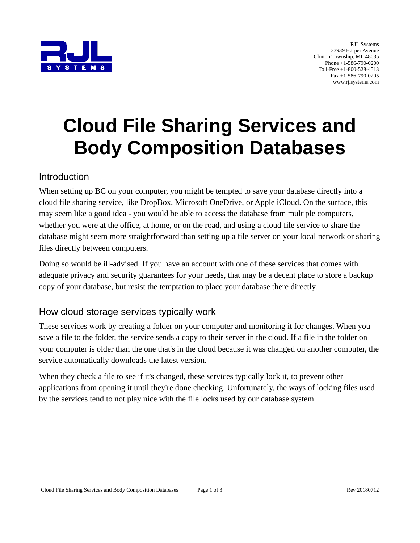

RJL Systems 33939 Harper Avenue Clinton Township, MI 48035 Phone +1-586-790-0200 Toll-Free +1-800-528-4513 Fax +1-586-790-0205 www.rjlsystems.com

# **Cloud File Sharing Services and Body Composition Databases**

#### Introduction

When setting up BC on your computer, you might be tempted to save your database directly into a cloud file sharing service, like DropBox, Microsoft OneDrive, or Apple iCloud. On the surface, this may seem like a good idea - you would be able to access the database from multiple computers, whether you were at the office, at home, or on the road, and using a cloud file service to share the database might seem more straightforward than setting up a file server on your local network or sharing files directly between computers.

Doing so would be ill-advised. If you have an account with one of these services that comes with adequate privacy and security guarantees for your needs, that may be a decent place to store a backup copy of your database, but resist the temptation to place your database there directly.

### How cloud storage services typically work

These services work by creating a folder on your computer and monitoring it for changes. When you save a file to the folder, the service sends a copy to their server in the cloud. If a file in the folder on your computer is older than the one that's in the cloud because it was changed on another computer, the service automatically downloads the latest version.

When they check a file to see if it's changed, these services typically lock it, to prevent other applications from opening it until they're done checking. Unfortunately, the ways of locking files used by the services tend to not play nice with the file locks used by our database system.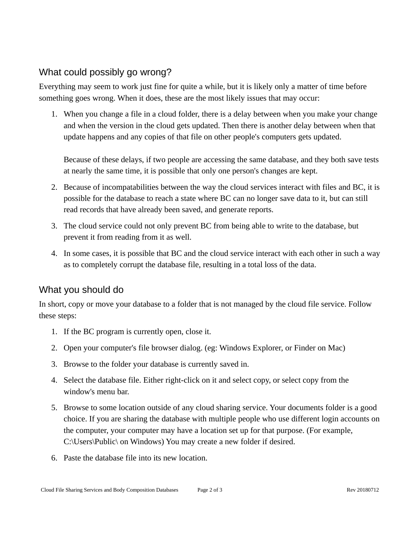## What could possibly go wrong?

Everything may seem to work just fine for quite a while, but it is likely only a matter of time before something goes wrong. When it does, these are the most likely issues that may occur:

1. When you change a file in a cloud folder, there is a delay between when you make your change and when the version in the cloud gets updated. Then there is another delay between when that update happens and any copies of that file on other people's computers gets updated.

Because of these delays, if two people are accessing the same database, and they both save tests at nearly the same time, it is possible that only one person's changes are kept.

- 2. Because of incompatabilities between the way the cloud services interact with files and BC, it is possible for the database to reach a state where BC can no longer save data to it, but can still read records that have already been saved, and generate reports.
- 3. The cloud service could not only prevent BC from being able to write to the database, but prevent it from reading from it as well.
- 4. In some cases, it is possible that BC and the cloud service interact with each other in such a way as to completely corrupt the database file, resulting in a total loss of the data.

## What you should do

In short, copy or move your database to a folder that is not managed by the cloud file service. Follow these steps:

- 1. If the BC program is currently open, close it.
- 2. Open your computer's file browser dialog. (eg: Windows Explorer, or Finder on Mac)
- 3. Browse to the folder your database is currently saved in.
- 4. Select the database file. Either right-click on it and select copy, or select copy from the window's menu bar.
- 5. Browse to some location outside of any cloud sharing service. Your documents folder is a good choice. If you are sharing the database with multiple people who use different login accounts on the computer, your computer may have a location set up for that purpose. (For example, C:\Users\Public\ on Windows) You may create a new folder if desired.
- 6. Paste the database file into its new location.